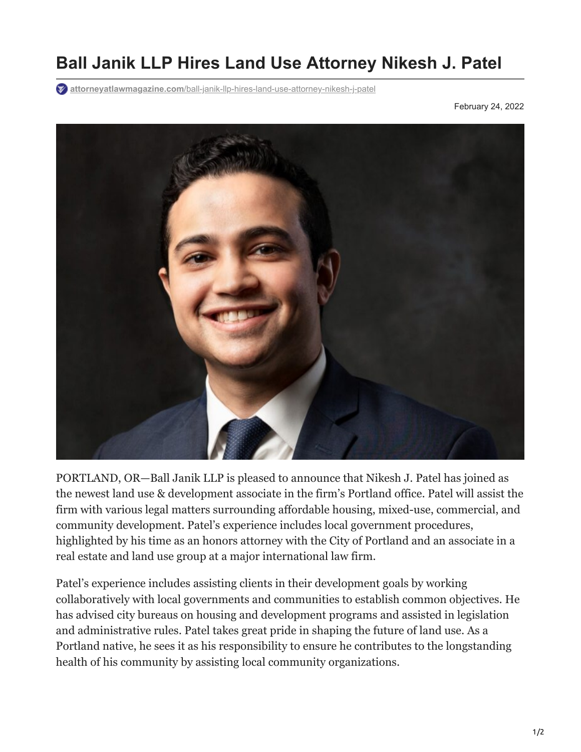## **Ball Janik LLP Hires Land Use Attorney Nikesh J. Patel**

**attorneyatlawmagazine.com**[/ball-janik-llp-hires-land-use-attorney-nikesh-j-patel](https://attorneyatlawmagazine.com/ball-janik-llp-hires-land-use-attorney-nikesh-j-patel)

February 24, 2022



PORTLAND, OR—Ball Janik LLP is pleased to announce that Nikesh J. Patel has joined as the newest land use & development associate in the firm's Portland office. Patel will assist the firm with various legal matters surrounding affordable housing, mixed-use, commercial, and community development. Patel's experience includes local government procedures, highlighted by his time as an honors attorney with the City of Portland and an associate in a real estate and land use group at a major international law firm.

Patel's experience includes assisting clients in their development goals by working collaboratively with local governments and communities to establish common objectives. He has advised city bureaus on housing and development programs and assisted in legislation and administrative rules. Patel takes great pride in shaping the future of land use. As a Portland native, he sees it as his responsibility to ensure he contributes to the longstanding health of his community by assisting local community organizations.